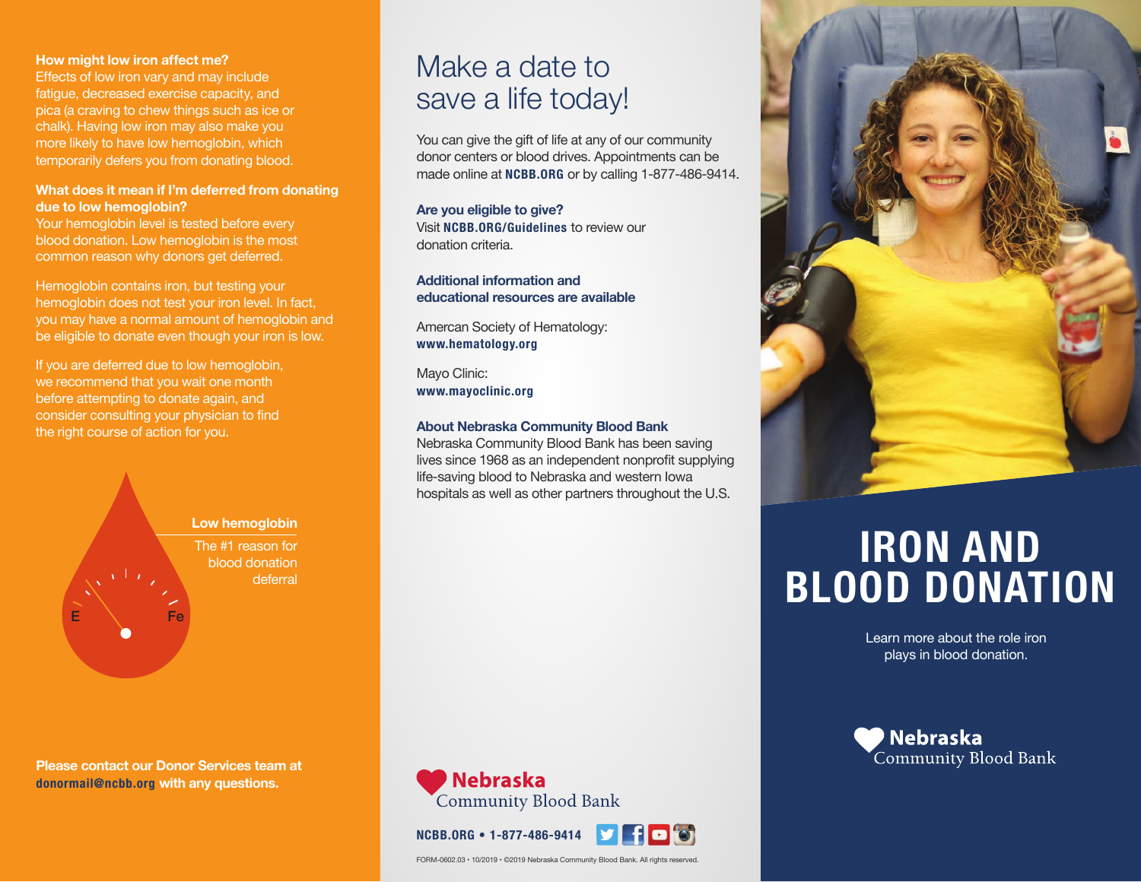#### **How might low iron affect me?**

Effects of low iron vary and may include fatigue, decreased exercise capacity, and pica (a craving to chew things such as ice or chalk). Having low iron may also make you more likely to have low hemoglobin, which temporarily defers you from donating blood.

## **What does it mean if I'm deferred from donating due to low hemoglobin?**

Your hemoglobin level is tested before every blood donation. Low hemoglobin is the most common reason why donors get deferred.

Hemoglobin contains iron, but testing your hemoglobin does not test your iron level. In fact, you may have a normal amount of hemoglobin and be eligible to donate even though your iron is low.

If you are deferred due to low hemoglobin, we recommend that you wait one month before attempting to donate again, and consider consulting your physician to find the right course of action for you.



**Please contact our Donor Services team at donormail@ncbb.org with any questions.**

# Make a date to save a life today!

You can give the gift of life at any of our community donor centers or blood drives. Appointments can be made online at **NCBB.ORG** or by calling 1-877-486-9414.

**Are you eligible to give?** Visit **NCBB.ORG/Guidelines** to review our donation criteria.

**Additional information and educational resources are available**

Amercan Society of Hematology: **www.hematology.org**

Mayo Clinic: **www.mayoclinic.org**

#### **About Nebraska Community Blood Bank**

Nebraska Community Blood Bank has been saving lives since 1968 as an independent nonprofit supplying life-saving blood to Nebraska and western Iowa hospitals as well as other partners throughout the U.S.





 $\blacksquare$  to



# **IRON AND BLOOD DONATION**

Learn more about the role iron plays in blood donation.